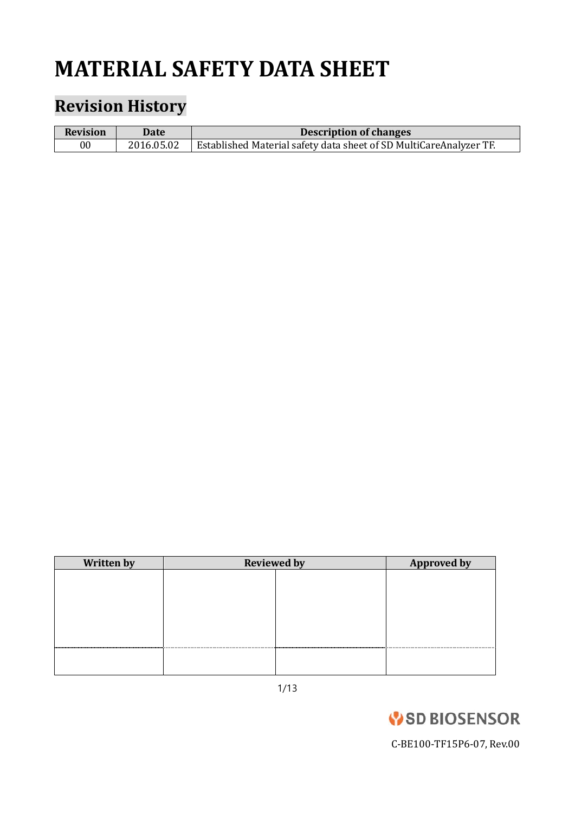# **MATERIAL SAFETY DATA SHEET**

# **Revision History**

| <b>Revision</b> | Date       | <b>Description of changes</b>                                      |
|-----------------|------------|--------------------------------------------------------------------|
| 00              | 2016.05.02 | Established Material safety data sheet of SD MultiCareAnalyzer TF. |

| <b>Written by</b> | <b>Reviewed by</b> |  | <b>Approved by</b> |
|-------------------|--------------------|--|--------------------|
|                   |                    |  |                    |
|                   |                    |  |                    |
|                   |                    |  |                    |
|                   |                    |  |                    |
|                   |                    |  |                    |
|                   |                    |  |                    |
|                   |                    |  |                    |
|                   |                    |  |                    |

1/13

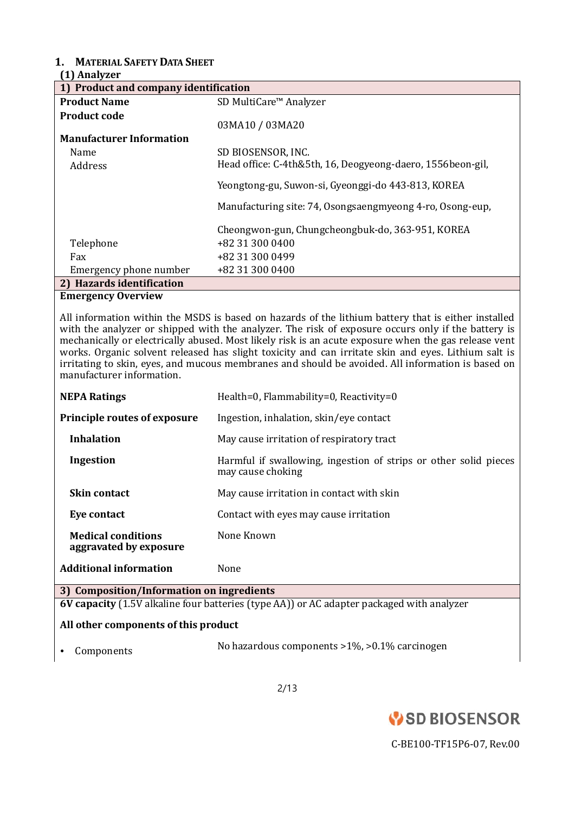## **1. MATERIAL SAFETY DATA SHEET**

### **(1) Analyzer**

| 1) Product and company identification |                                                            |  |
|---------------------------------------|------------------------------------------------------------|--|
| <b>Product Name</b>                   | SD MultiCare <sup>™</sup> Analyzer                         |  |
| <b>Product code</b>                   |                                                            |  |
|                                       | 03MA10 / 03MA20                                            |  |
| <b>Manufacturer Information</b>       |                                                            |  |
| Name                                  | SD BIOSENSOR, INC.                                         |  |
| Address                               | Head office: C-4th&5th, 16, Deogyeong-daero, 1556beon-gil, |  |
|                                       | Yeongtong-gu, Suwon-si, Gyeonggi-do 443-813, KOREA         |  |
|                                       | Manufacturing site: 74, Osongsaengmyeong 4-ro, Osong-eup,  |  |
|                                       | Cheongwon-gun, Chungcheongbuk-do, 363-951, KOREA           |  |
| Telephone                             | +82 31 300 0400                                            |  |
| Fax                                   | +82 31 300 0499                                            |  |
| Emergency phone number                | +82 31 300 0400                                            |  |
| 2) Hazards identification             |                                                            |  |
| $\mathbf{E}$                          |                                                            |  |

#### **Emergency Overview**

All information within the MSDS is based on hazards of the lithium battery that is either installed with the analyzer or shipped with the analyzer. The risk of exposure occurs only if the battery is mechanically or electrically abused. Most likely risk is an acute exposure when the gas release vent works. Organic solvent released has slight toxicity and can irritate skin and eyes. Lithium salt is irritating to skin, eyes, and mucous membranes and should be avoided. All information is based on manufacturer information.

| <b>NEPA Ratings</b>                                                                       | Health=0, Flammability=0, Reactivity=0                                                |  |
|-------------------------------------------------------------------------------------------|---------------------------------------------------------------------------------------|--|
| <b>Principle routes of exposure</b>                                                       | Ingestion, inhalation, skin/eye contact                                               |  |
| <b>Inhalation</b>                                                                         | May cause irritation of respiratory tract                                             |  |
| Ingestion                                                                                 | Harmful if swallowing, ingestion of strips or other solid pieces<br>may cause choking |  |
| <b>Skin contact</b>                                                                       | May cause irritation in contact with skin                                             |  |
| Eye contact                                                                               | Contact with eyes may cause irritation                                                |  |
| <b>Medical conditions</b><br>aggravated by exposure                                       | None Known                                                                            |  |
| <b>Additional information</b>                                                             | None                                                                                  |  |
| 3) Composition/Information on ingredients                                                 |                                                                                       |  |
| 6V capacity (1.5V alkaline four batteries (type AA)) or AC adapter packaged with analyzer |                                                                                       |  |

#### **All other components of this product**

• Components No hazardous components >1%, >0.1% carcinogen

2/13

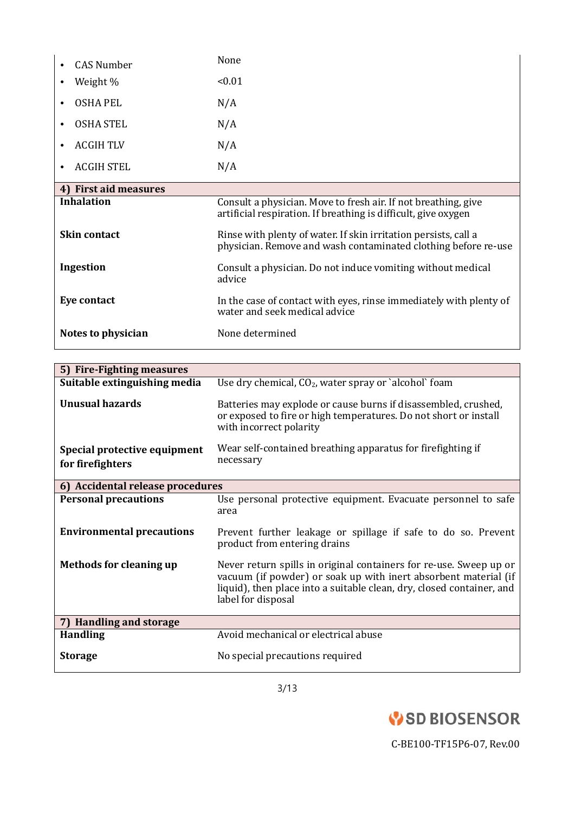|                     | <b>CAS Number</b>     | None                                                                                                                              |
|---------------------|-----------------------|-----------------------------------------------------------------------------------------------------------------------------------|
|                     | Weight %              | < 0.01                                                                                                                            |
| ٠                   | OSHA PEL              | N/A                                                                                                                               |
| ٠                   | <b>OSHA STEL</b>      | N/A                                                                                                                               |
|                     | <b>ACGIH TLV</b>      | N/A                                                                                                                               |
|                     | <b>ACGIH STEL</b>     | N/A                                                                                                                               |
|                     | 4) First aid measures |                                                                                                                                   |
|                     | <b>Inhalation</b>     | Consult a physician. Move to fresh air. If not breathing, give<br>artificial respiration. If breathing is difficult, give oxygen  |
| <b>Skin contact</b> |                       | Rinse with plenty of water. If skin irritation persists, call a<br>physician. Remove and wash contaminated clothing before re-use |
| Ingestion           |                       | Consult a physician. Do not induce vomiting without medical<br>advice                                                             |
| Eye contact         |                       | In the case of contact with eyes, rinse immediately with plenty of<br>water and seek medical advice                               |
| Notes to physician  |                       | None determined                                                                                                                   |

| 5) Fire-Fighting measures                        |                                                                                                                                                                                                                                      |
|--------------------------------------------------|--------------------------------------------------------------------------------------------------------------------------------------------------------------------------------------------------------------------------------------|
| Suitable extinguishing media                     | Use dry chemical, $CO2$ , water spray or `alcohol` foam                                                                                                                                                                              |
| <b>Unusual hazards</b>                           | Batteries may explode or cause burns if disassembled, crushed,<br>or exposed to fire or high temperatures. Do not short or install<br>with incorrect polarity                                                                        |
| Special protective equipment<br>for firefighters | Wear self-contained breathing apparatus for firefighting if<br>necessary                                                                                                                                                             |
| 6) Accidental release procedures                 |                                                                                                                                                                                                                                      |
| <b>Personal precautions</b>                      | Use personal protective equipment. Evacuate personnel to safe<br>area                                                                                                                                                                |
| <b>Environmental precautions</b>                 | Prevent further leakage or spillage if safe to do so. Prevent<br>product from entering drains                                                                                                                                        |
| <b>Methods for cleaning up</b>                   | Never return spills in original containers for re-use. Sweep up or<br>vacuum (if powder) or soak up with inert absorbent material (if<br>liquid), then place into a suitable clean, dry, closed container, and<br>label for disposal |
| 7) Handling and storage                          |                                                                                                                                                                                                                                      |
| <b>Handling</b>                                  | Avoid mechanical or electrical abuse                                                                                                                                                                                                 |
| <b>Storage</b>                                   | No special precautions required                                                                                                                                                                                                      |

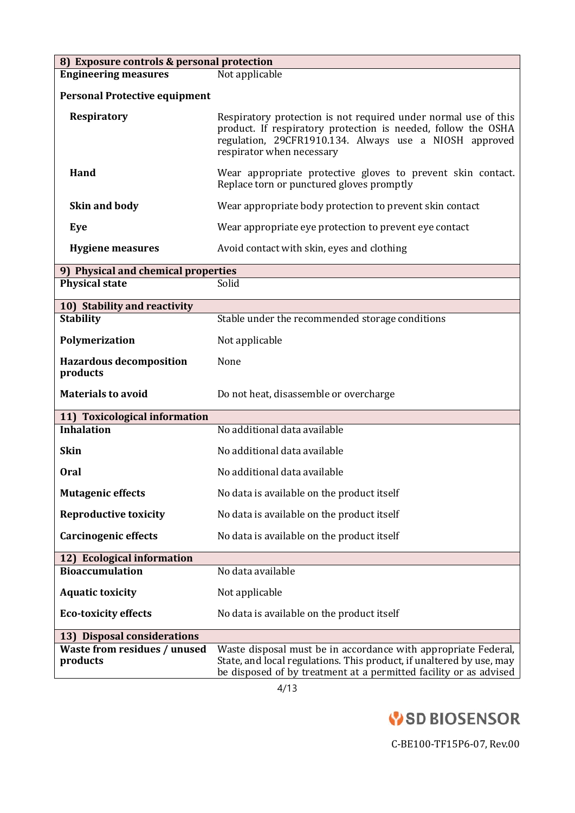| 8) Exposure controls & personal protection |                                                                                                                                                                                                                         |  |  |
|--------------------------------------------|-------------------------------------------------------------------------------------------------------------------------------------------------------------------------------------------------------------------------|--|--|
| <b>Engineering measures</b>                | Not applicable                                                                                                                                                                                                          |  |  |
| <b>Personal Protective equipment</b>       |                                                                                                                                                                                                                         |  |  |
| Respiratory                                | Respiratory protection is not required under normal use of this<br>product. If respiratory protection is needed, follow the OSHA<br>regulation, 29CFR1910.134. Always use a NIOSH approved<br>respirator when necessary |  |  |
| Hand                                       | Wear appropriate protective gloves to prevent skin contact.<br>Replace torn or punctured gloves promptly                                                                                                                |  |  |
| <b>Skin and body</b>                       | Wear appropriate body protection to prevent skin contact                                                                                                                                                                |  |  |
| Eye                                        | Wear appropriate eye protection to prevent eye contact                                                                                                                                                                  |  |  |
| <b>Hygiene measures</b>                    | Avoid contact with skin, eyes and clothing                                                                                                                                                                              |  |  |
| 9) Physical and chemical properties        |                                                                                                                                                                                                                         |  |  |
| <b>Physical state</b>                      | Solid                                                                                                                                                                                                                   |  |  |
| 10) Stability and reactivity               |                                                                                                                                                                                                                         |  |  |
| <b>Stability</b>                           | Stable under the recommended storage conditions                                                                                                                                                                         |  |  |
| Polymerization                             | Not applicable                                                                                                                                                                                                          |  |  |
| <b>Hazardous decomposition</b><br>products | None                                                                                                                                                                                                                    |  |  |
| <b>Materials to avoid</b>                  | Do not heat, disassemble or overcharge                                                                                                                                                                                  |  |  |
| 11) Toxicological information              |                                                                                                                                                                                                                         |  |  |
| <b>Inhalation</b>                          | No additional data available                                                                                                                                                                                            |  |  |
| <b>Skin</b>                                | No additional data available                                                                                                                                                                                            |  |  |
| <b>Oral</b>                                | No additional data available                                                                                                                                                                                            |  |  |
| <b>Mutagenic effects</b>                   | No data is available on the product itself                                                                                                                                                                              |  |  |
| <b>Reproductive toxicity</b>               | No data is available on the product itself                                                                                                                                                                              |  |  |
| <b>Carcinogenic effects</b>                | No data is available on the product itself                                                                                                                                                                              |  |  |
| 12) Ecological information                 |                                                                                                                                                                                                                         |  |  |
| <b>Bioaccumulation</b>                     | No data available                                                                                                                                                                                                       |  |  |
| <b>Aquatic toxicity</b>                    | Not applicable                                                                                                                                                                                                          |  |  |
| <b>Eco-toxicity effects</b>                | No data is available on the product itself                                                                                                                                                                              |  |  |
| 13) Disposal considerations                |                                                                                                                                                                                                                         |  |  |
| Waste from residues / unused<br>products   | Waste disposal must be in accordance with appropriate Federal,<br>State, and local regulations. This product, if unaltered by use, may<br>be disposed of by treatment at a permitted facility or as advised             |  |  |

4/13

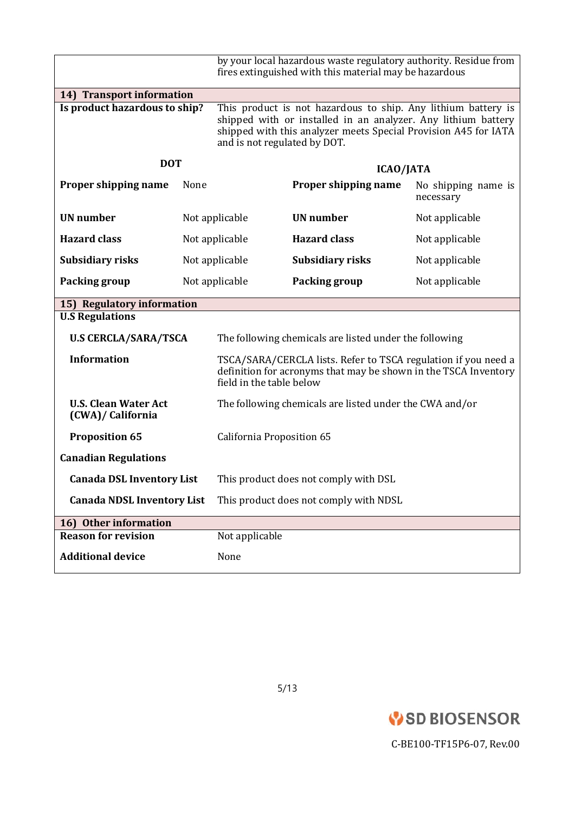|                                                  |      |                                                                                                                                                                                                                                   | by your local hazardous waste regulatory authority. Residue from<br>fires extinguished with this material may be hazardous        |                                  |
|--------------------------------------------------|------|-----------------------------------------------------------------------------------------------------------------------------------------------------------------------------------------------------------------------------------|-----------------------------------------------------------------------------------------------------------------------------------|----------------------------------|
| 14) Transport information                        |      |                                                                                                                                                                                                                                   |                                                                                                                                   |                                  |
| Is product hazardous to ship?                    |      | This product is not hazardous to ship. Any lithium battery is<br>shipped with or installed in an analyzer. Any lithium battery<br>shipped with this analyzer meets Special Provision A45 for IATA<br>and is not regulated by DOT. |                                                                                                                                   |                                  |
| <b>DOT</b>                                       |      |                                                                                                                                                                                                                                   | ICAO/JATA                                                                                                                         |                                  |
| Proper shipping name                             | None |                                                                                                                                                                                                                                   | Proper shipping name                                                                                                              | No shipping name is<br>necessary |
| <b>UN</b> number                                 |      | Not applicable                                                                                                                                                                                                                    | <b>UN</b> number                                                                                                                  | Not applicable                   |
| <b>Hazard class</b>                              |      | Not applicable                                                                                                                                                                                                                    | <b>Hazard class</b>                                                                                                               | Not applicable                   |
| Subsidiary risks                                 |      | Not applicable                                                                                                                                                                                                                    | <b>Subsidiary risks</b>                                                                                                           | Not applicable                   |
| Packing group                                    |      | Not applicable                                                                                                                                                                                                                    | Packing group                                                                                                                     | Not applicable                   |
| 15) Regulatory information                       |      |                                                                                                                                                                                                                                   |                                                                                                                                   |                                  |
| <b>U.S Regulations</b>                           |      |                                                                                                                                                                                                                                   |                                                                                                                                   |                                  |
| <b>U.S CERCLA/SARA/TSCA</b>                      |      |                                                                                                                                                                                                                                   | The following chemicals are listed under the following                                                                            |                                  |
| <b>Information</b>                               |      | field in the table below                                                                                                                                                                                                          | TSCA/SARA/CERCLA lists. Refer to TSCA regulation if you need a<br>definition for acronyms that may be shown in the TSCA Inventory |                                  |
| <b>U.S. Clean Water Act</b><br>(CWA)/ California |      |                                                                                                                                                                                                                                   | The following chemicals are listed under the CWA and/or                                                                           |                                  |
| <b>Proposition 65</b>                            |      | California Proposition 65                                                                                                                                                                                                         |                                                                                                                                   |                                  |
| <b>Canadian Regulations</b>                      |      |                                                                                                                                                                                                                                   |                                                                                                                                   |                                  |
| <b>Canada DSL Inventory List</b>                 |      |                                                                                                                                                                                                                                   | This product does not comply with DSL                                                                                             |                                  |
| <b>Canada NDSL Inventory List</b>                |      |                                                                                                                                                                                                                                   | This product does not comply with NDSL                                                                                            |                                  |
| 16) Other information                            |      |                                                                                                                                                                                                                                   |                                                                                                                                   |                                  |
| <b>Reason for revision</b>                       |      | Not applicable                                                                                                                                                                                                                    |                                                                                                                                   |                                  |
| <b>Additional device</b>                         |      | None                                                                                                                                                                                                                              |                                                                                                                                   |                                  |

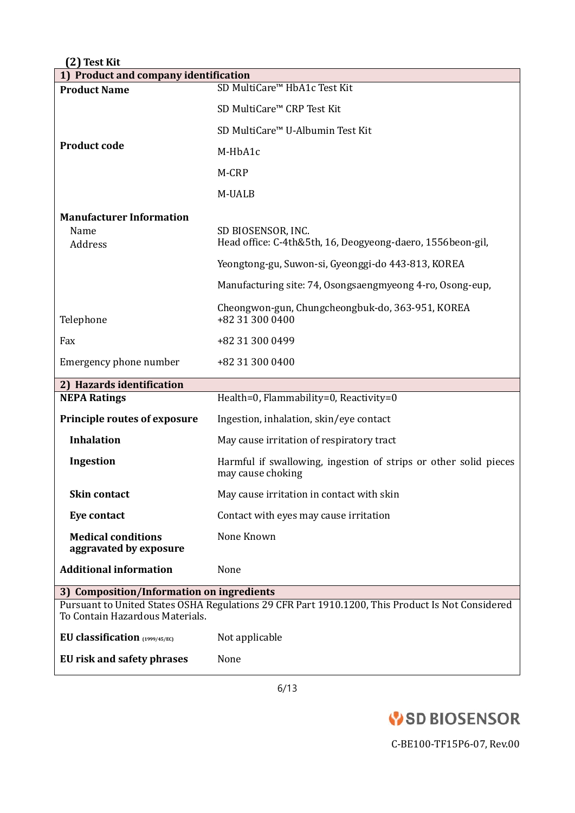| 1) Product and company identification               |                                                                                                  |  |
|-----------------------------------------------------|--------------------------------------------------------------------------------------------------|--|
| <b>Product Name</b>                                 | SD MultiCare <sup>™</sup> HbA1c Test Kit                                                         |  |
|                                                     | SD MultiCare™ CRP Test Kit                                                                       |  |
|                                                     | SD MultiCare <sup>™</sup> U-Albumin Test Kit                                                     |  |
| <b>Product code</b>                                 | M-HbA1c                                                                                          |  |
|                                                     | M-CRP                                                                                            |  |
|                                                     | M-UALB                                                                                           |  |
| <b>Manufacturer Information</b>                     |                                                                                                  |  |
| Name<br>Address                                     | SD BIOSENSOR, INC.<br>Head office: C-4th&5th, 16, Deogyeong-daero, 1556beon-gil,                 |  |
|                                                     | Yeongtong-gu, Suwon-si, Gyeonggi-do 443-813, KOREA                                               |  |
|                                                     | Manufacturing site: 74, Osongsaengmyeong 4-ro, Osong-eup,                                        |  |
| Telephone                                           | Cheongwon-gun, Chungcheongbuk-do, 363-951, KOREA<br>+82 31 300 0400                              |  |
| Fax                                                 | +82 31 300 0499                                                                                  |  |
| Emergency phone number                              | +82 31 300 0400                                                                                  |  |
| 2) Hazards identification                           |                                                                                                  |  |
| <b>NEPA Ratings</b>                                 | Health=0, Flammability=0, Reactivity=0                                                           |  |
| <b>Principle routes of exposure</b>                 | Ingestion, inhalation, skin/eye contact                                                          |  |
| <b>Inhalation</b>                                   | May cause irritation of respiratory tract                                                        |  |
| Ingestion                                           | Harmful if swallowing, ingestion of strips or other solid pieces<br>may cause choking            |  |
| <b>Skin contact</b>                                 | May cause irritation in contact with skin                                                        |  |
| <b>Eye contact</b>                                  | Contact with eyes may cause irritation                                                           |  |
| <b>Medical conditions</b><br>aggravated by exposure | None Known                                                                                       |  |
| <b>Additional information</b>                       | None                                                                                             |  |
| 3) Composition/Information on ingredients           |                                                                                                  |  |
| To Contain Hazardous Materials.                     | Pursuant to United States OSHA Regulations 29 CFR Part 1910.1200, This Product Is Not Considered |  |
| EU classification $(1999/45/EC)$                    | Not applicable                                                                                   |  |
|                                                     |                                                                                                  |  |

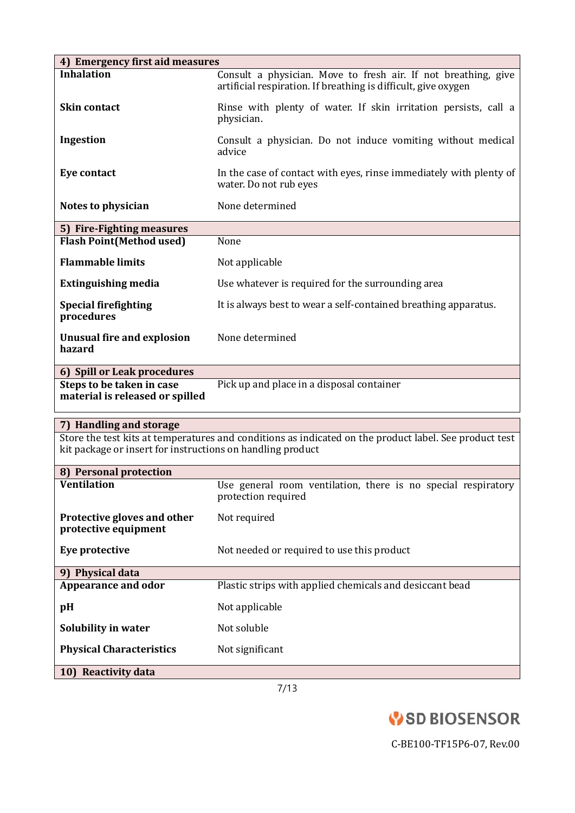| 4) Emergency first aid measures                                                                                                                                      |                                                                                                                                  |  |  |
|----------------------------------------------------------------------------------------------------------------------------------------------------------------------|----------------------------------------------------------------------------------------------------------------------------------|--|--|
| <b>Inhalation</b>                                                                                                                                                    | Consult a physician. Move to fresh air. If not breathing, give<br>artificial respiration. If breathing is difficult, give oxygen |  |  |
| <b>Skin contact</b>                                                                                                                                                  | Rinse with plenty of water. If skin irritation persists, call a<br>physician.                                                    |  |  |
| Ingestion                                                                                                                                                            | Consult a physician. Do not induce vomiting without medical<br>advice                                                            |  |  |
| <b>Eye contact</b>                                                                                                                                                   | In the case of contact with eyes, rinse immediately with plenty of<br>water. Do not rub eyes                                     |  |  |
| Notes to physician                                                                                                                                                   | None determined                                                                                                                  |  |  |
| 5) Fire-Fighting measures                                                                                                                                            |                                                                                                                                  |  |  |
| <b>Flash Point (Method used)</b>                                                                                                                                     | None                                                                                                                             |  |  |
| <b>Flammable limits</b>                                                                                                                                              | Not applicable                                                                                                                   |  |  |
| <b>Extinguishing media</b>                                                                                                                                           | Use whatever is required for the surrounding area                                                                                |  |  |
| <b>Special firefighting</b><br>procedures                                                                                                                            | It is always best to wear a self-contained breathing apparatus.                                                                  |  |  |
| <b>Unusual fire and explosion</b><br>hazard                                                                                                                          | None determined                                                                                                                  |  |  |
| 6) Spill or Leak procedures                                                                                                                                          |                                                                                                                                  |  |  |
| Steps to be taken in case<br>material is released or spilled                                                                                                         | Pick up and place in a disposal container                                                                                        |  |  |
| 7) Handling and storage                                                                                                                                              |                                                                                                                                  |  |  |
| Store the test kits at temperatures and conditions as indicated on the product label. See product test<br>kit package or insert for instructions on handling product |                                                                                                                                  |  |  |
| 8) Personal protection                                                                                                                                               |                                                                                                                                  |  |  |
| Ventilation                                                                                                                                                          | Use general room ventilation, there is no special respiratory<br>protection required                                             |  |  |
| Protective gloves and other<br>protective equipment                                                                                                                  | Not required                                                                                                                     |  |  |
| Eye protective                                                                                                                                                       | Not needed or required to use this product                                                                                       |  |  |
| 9) Physical data                                                                                                                                                     |                                                                                                                                  |  |  |
| <b>Appearance and odor</b>                                                                                                                                           | Plastic strips with applied chemicals and desiccant bead                                                                         |  |  |
| pH                                                                                                                                                                   | Not applicable                                                                                                                   |  |  |
| Solubility in water                                                                                                                                                  | Not soluble                                                                                                                      |  |  |
| <b>Physical Characteristics</b>                                                                                                                                      | Not significant                                                                                                                  |  |  |
| 10) Reactivity data                                                                                                                                                  |                                                                                                                                  |  |  |
|                                                                                                                                                                      | 7/12                                                                                                                             |  |  |

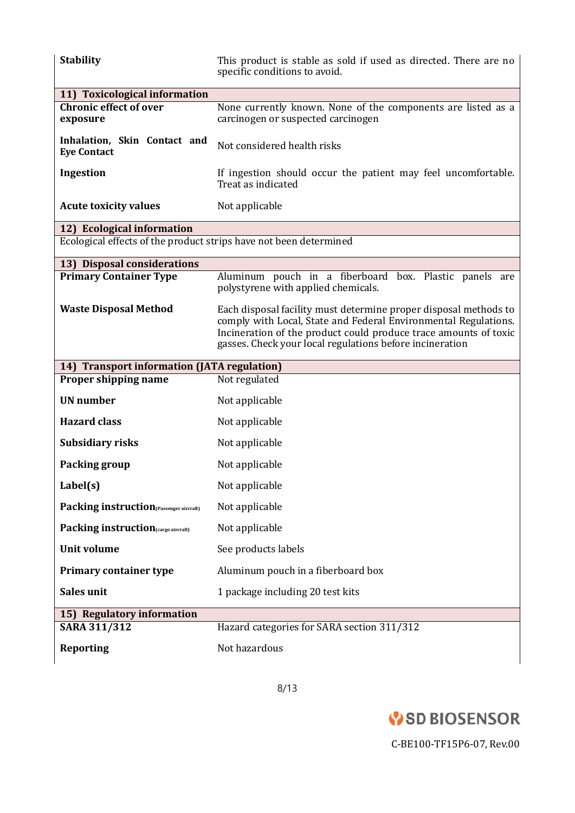| <b>Stability</b>                                                  | This product is stable as sold if used as directed. There are no<br>specific conditions to avoid.                                                                                                                                                                   |  |  |
|-------------------------------------------------------------------|---------------------------------------------------------------------------------------------------------------------------------------------------------------------------------------------------------------------------------------------------------------------|--|--|
| 11) Toxicological information                                     |                                                                                                                                                                                                                                                                     |  |  |
| <b>Chronic effect of over</b><br>exposure                         | None currently known. None of the components are listed as a<br>carcinogen or suspected carcinogen                                                                                                                                                                  |  |  |
| Inhalation, Skin Contact and<br><b>Eye Contact</b>                | Not considered health risks                                                                                                                                                                                                                                         |  |  |
| Ingestion                                                         | If ingestion should occur the patient may feel uncomfortable.<br>Treat as indicated                                                                                                                                                                                 |  |  |
| <b>Acute toxicity values</b>                                      | Not applicable                                                                                                                                                                                                                                                      |  |  |
| 12) Ecological information                                        |                                                                                                                                                                                                                                                                     |  |  |
| Ecological effects of the product strips have not been determined |                                                                                                                                                                                                                                                                     |  |  |
| 13) Disposal considerations                                       |                                                                                                                                                                                                                                                                     |  |  |
| <b>Primary Container Type</b>                                     | Aluminum pouch in a fiberboard box. Plastic panels are<br>polystyrene with applied chemicals.                                                                                                                                                                       |  |  |
| <b>Waste Disposal Method</b>                                      | Each disposal facility must determine proper disposal methods to<br>comply with Local, State and Federal Environmental Regulations.<br>Incineration of the product could produce trace amounts of toxic<br>gasses. Check your local regulations before incineration |  |  |
| 14) Transport information (JATA regulation)                       |                                                                                                                                                                                                                                                                     |  |  |
| Proper shipping name                                              | Not regulated                                                                                                                                                                                                                                                       |  |  |
| <b>UN</b> number                                                  | Not applicable                                                                                                                                                                                                                                                      |  |  |
| <b>Hazard class</b>                                               | Not applicable                                                                                                                                                                                                                                                      |  |  |
| <b>Subsidiary risks</b>                                           | Not applicable                                                                                                                                                                                                                                                      |  |  |
| Packing group                                                     | Not applicable                                                                                                                                                                                                                                                      |  |  |
| Label(s)                                                          | Not applicable                                                                                                                                                                                                                                                      |  |  |
| Packing instruction(Passenger aircraft)                           | Not applicable                                                                                                                                                                                                                                                      |  |  |
| Packing instruction(cargo aircraft)                               | Not applicable                                                                                                                                                                                                                                                      |  |  |
| <b>Unit volume</b>                                                | See products labels                                                                                                                                                                                                                                                 |  |  |
| <b>Primary container type</b>                                     | Aluminum pouch in a fiberboard box                                                                                                                                                                                                                                  |  |  |
| Sales unit                                                        | 1 package including 20 test kits                                                                                                                                                                                                                                    |  |  |
| 15) Regulatory information                                        |                                                                                                                                                                                                                                                                     |  |  |
| <b>SARA 311/312</b>                                               | Hazard categories for SARA section 311/312                                                                                                                                                                                                                          |  |  |
| <b>Reporting</b>                                                  | Not hazardous                                                                                                                                                                                                                                                       |  |  |

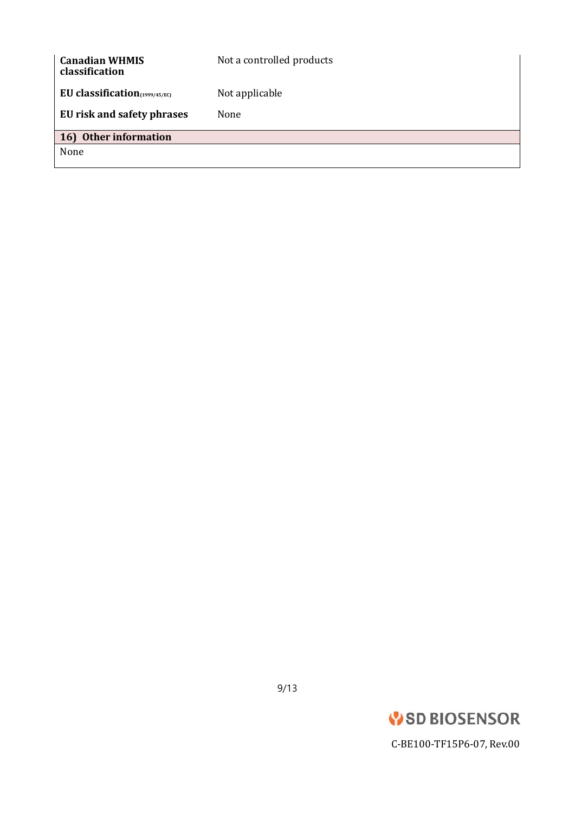| <b>Canadian WHMIS</b><br>classification                        | Not a controlled products |
|----------------------------------------------------------------|---------------------------|
| EU classification $(1999/45/EC)$<br>EU risk and safety phrases | Not applicable<br>None    |
| 16) Other information                                          |                           |
| None                                                           |                           |

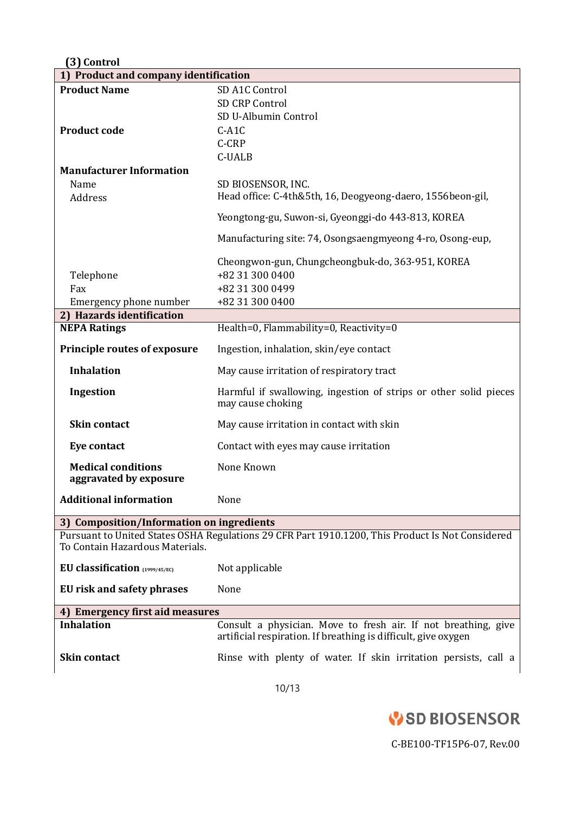| (3) Control                                                                                                                         |                                                                                                                                  |  |
|-------------------------------------------------------------------------------------------------------------------------------------|----------------------------------------------------------------------------------------------------------------------------------|--|
| 1) Product and company identification                                                                                               |                                                                                                                                  |  |
| <b>Product Name</b>                                                                                                                 | SD A1C Control                                                                                                                   |  |
|                                                                                                                                     | <b>SD CRP Control</b>                                                                                                            |  |
|                                                                                                                                     | SD U-Albumin Control                                                                                                             |  |
| <b>Product code</b>                                                                                                                 | $C-ALC$<br>C-CRP                                                                                                                 |  |
|                                                                                                                                     | <b>C-UALB</b>                                                                                                                    |  |
| <b>Manufacturer Information</b>                                                                                                     |                                                                                                                                  |  |
| Name                                                                                                                                | SD BIOSENSOR, INC.                                                                                                               |  |
| Address                                                                                                                             | Head office: C-4th&5th, 16, Deogyeong-daero, 1556beon-gil,                                                                       |  |
|                                                                                                                                     | Yeongtong-gu, Suwon-si, Gyeonggi-do 443-813, KOREA                                                                               |  |
|                                                                                                                                     | Manufacturing site: 74, Osongsaengmyeong 4-ro, Osong-eup,                                                                        |  |
|                                                                                                                                     | Cheongwon-gun, Chungcheongbuk-do, 363-951, KOREA                                                                                 |  |
| Telephone                                                                                                                           | +82 31 300 0400                                                                                                                  |  |
| Fax                                                                                                                                 | +82 31 300 0499                                                                                                                  |  |
| Emergency phone number                                                                                                              | +82 31 300 0400                                                                                                                  |  |
| 2) Hazards identification                                                                                                           |                                                                                                                                  |  |
| <b>NEPA Ratings</b>                                                                                                                 | Health=0, Flammability=0, Reactivity=0                                                                                           |  |
| <b>Principle routes of exposure</b>                                                                                                 | Ingestion, inhalation, skin/eye contact                                                                                          |  |
| <b>Inhalation</b>                                                                                                                   | May cause irritation of respiratory tract                                                                                        |  |
| Ingestion                                                                                                                           | Harmful if swallowing, ingestion of strips or other solid pieces<br>may cause choking                                            |  |
| <b>Skin contact</b>                                                                                                                 | May cause irritation in contact with skin                                                                                        |  |
| Eye contact                                                                                                                         | Contact with eyes may cause irritation                                                                                           |  |
| <b>Medical conditions</b><br>aggravated by exposure                                                                                 | None Known                                                                                                                       |  |
| <b>Additional information</b>                                                                                                       | None                                                                                                                             |  |
| 3) Composition/Information on ingredients                                                                                           |                                                                                                                                  |  |
| Pursuant to United States OSHA Regulations 29 CFR Part 1910.1200, This Product Is Not Considered<br>To Contain Hazardous Materials. |                                                                                                                                  |  |
| EU classification (1999/45/EC)                                                                                                      | Not applicable                                                                                                                   |  |
| EU risk and safety phrases                                                                                                          | None                                                                                                                             |  |
| 4) Emergency first aid measures                                                                                                     |                                                                                                                                  |  |
| <b>Inhalation</b>                                                                                                                   | Consult a physician. Move to fresh air. If not breathing, give<br>artificial respiration. If breathing is difficult, give oxygen |  |
| <b>Skin contact</b>                                                                                                                 | Rinse with plenty of water. If skin irritation persists, call a                                                                  |  |

10/13

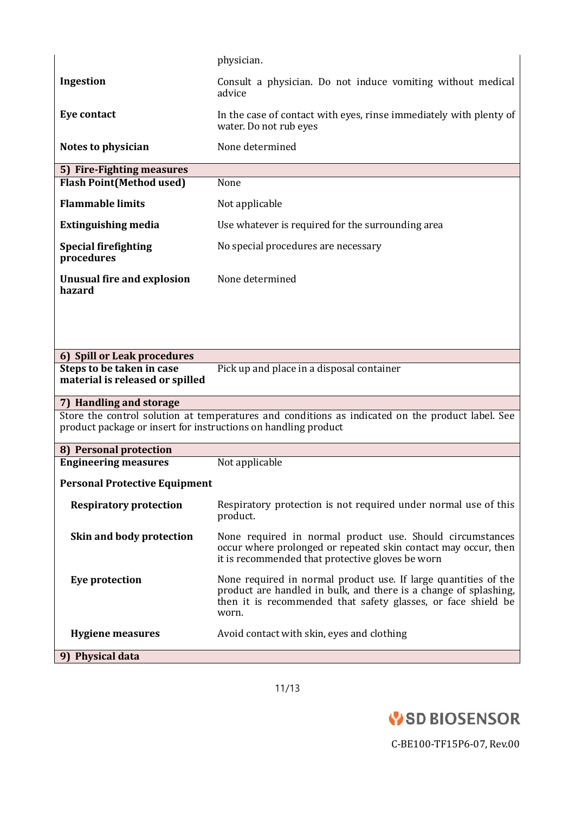|                                                                | physician.                                                                                                                                                                                                    |
|----------------------------------------------------------------|---------------------------------------------------------------------------------------------------------------------------------------------------------------------------------------------------------------|
| Ingestion                                                      | Consult a physician. Do not induce vomiting without medical<br>advice                                                                                                                                         |
| <b>Eye contact</b>                                             | In the case of contact with eyes, rinse immediately with plenty of<br>water. Do not rub eyes                                                                                                                  |
| Notes to physician                                             | None determined                                                                                                                                                                                               |
| 5) Fire-Fighting measures                                      |                                                                                                                                                                                                               |
| <b>Flash Point(Method used)</b>                                | None                                                                                                                                                                                                          |
| <b>Flammable limits</b>                                        | Not applicable                                                                                                                                                                                                |
| <b>Extinguishing media</b>                                     | Use whatever is required for the surrounding area                                                                                                                                                             |
| <b>Special firefighting</b><br>procedures                      | No special procedures are necessary                                                                                                                                                                           |
| <b>Unusual fire and explosion</b><br>hazard                    | None determined                                                                                                                                                                                               |
|                                                                |                                                                                                                                                                                                               |
| 6) Spill or Leak procedures                                    |                                                                                                                                                                                                               |
| Steps to be taken in case<br>material is released or spilled   | Pick up and place in a disposal container                                                                                                                                                                     |
| 7) Handling and storage                                        |                                                                                                                                                                                                               |
| product package or insert for instructions on handling product | Store the control solution at temperatures and conditions as indicated on the product label. See                                                                                                              |
| 8) Personal protection                                         |                                                                                                                                                                                                               |
| <b>Engineering measures</b>                                    | Not applicable                                                                                                                                                                                                |
| <b>Personal Protective Equipment</b>                           |                                                                                                                                                                                                               |
| <b>Respiratory protection</b>                                  | Respiratory protection is not required under normal use of this<br>product.                                                                                                                                   |
| Skin and body protection                                       | None required in normal product use. Should circumstances<br>occur where prolonged or repeated skin contact may occur, then<br>it is recommended that protective gloves be worn                               |
| <b>Eye protection</b>                                          | None required in normal product use. If large quantities of the<br>product are handled in bulk, and there is a change of splashing,<br>then it is recommended that safety glasses, or face shield be<br>worn. |
| <b>Hygiene measures</b>                                        | Avoid contact with skin, eyes and clothing                                                                                                                                                                    |
| 9) Physical data                                               |                                                                                                                                                                                                               |

11/13

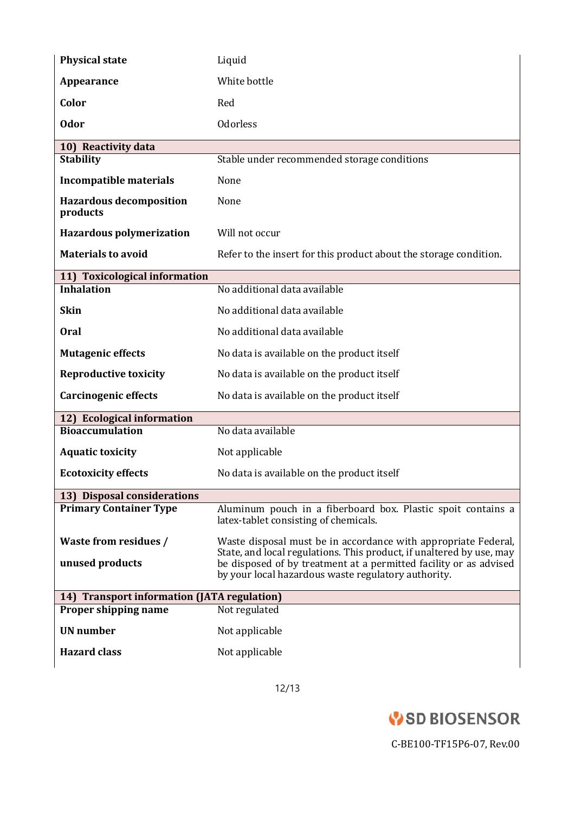| <b>Physical state</b>                       | Liquid                                                                                                                                                                                           |  |
|---------------------------------------------|--------------------------------------------------------------------------------------------------------------------------------------------------------------------------------------------------|--|
| Appearance                                  | White bottle                                                                                                                                                                                     |  |
| Color                                       | Red                                                                                                                                                                                              |  |
| <b>Odor</b>                                 | <b>Odorless</b>                                                                                                                                                                                  |  |
| 10) Reactivity data                         |                                                                                                                                                                                                  |  |
| <b>Stability</b>                            | Stable under recommended storage conditions                                                                                                                                                      |  |
| <b>Incompatible materials</b>               | None                                                                                                                                                                                             |  |
| <b>Hazardous decomposition</b><br>products  | None                                                                                                                                                                                             |  |
| <b>Hazardous polymerization</b>             | Will not occur                                                                                                                                                                                   |  |
| <b>Materials to avoid</b>                   | Refer to the insert for this product about the storage condition.                                                                                                                                |  |
| 11) Toxicological information               |                                                                                                                                                                                                  |  |
| <b>Inhalation</b>                           | No additional data available                                                                                                                                                                     |  |
| <b>Skin</b>                                 | No additional data available                                                                                                                                                                     |  |
| <b>Oral</b>                                 | No additional data available                                                                                                                                                                     |  |
| <b>Mutagenic effects</b>                    | No data is available on the product itself                                                                                                                                                       |  |
| <b>Reproductive toxicity</b>                | No data is available on the product itself                                                                                                                                                       |  |
| <b>Carcinogenic effects</b>                 | No data is available on the product itself                                                                                                                                                       |  |
| 12) Ecological information                  |                                                                                                                                                                                                  |  |
| <b>Bioaccumulation</b>                      | No data available                                                                                                                                                                                |  |
| <b>Aquatic toxicity</b>                     | Not applicable                                                                                                                                                                                   |  |
| <b>Ecotoxicity effects</b>                  | No data is available on the product itself                                                                                                                                                       |  |
| 13) Disposal considerations                 |                                                                                                                                                                                                  |  |
| <b>Primary Container Type</b>               | Aluminum pouch in a fiberboard box. Plastic spoit contains a<br>latex-tablet consisting of chemicals.                                                                                            |  |
| Waste from residues /                       | Waste disposal must be in accordance with appropriate Federal,                                                                                                                                   |  |
| unused products                             | State, and local regulations. This product, if unaltered by use, may<br>be disposed of by treatment at a permitted facility or as advised<br>by your local hazardous waste regulatory authority. |  |
| 14) Transport information (JATA regulation) |                                                                                                                                                                                                  |  |
| Proper shipping name                        | Not regulated                                                                                                                                                                                    |  |
| <b>UN</b> number                            | Not applicable                                                                                                                                                                                   |  |
| <b>Hazard class</b>                         | Not applicable                                                                                                                                                                                   |  |